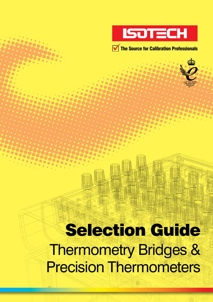

 $\frac{1}{2}$ 

 $\bullet$  $\bullet$ 

 $\bullet\bullet\bullet$  $\mathcal{L}_{\mathcal{A}}$ 

**2222**  $\bullet$ 

 $\bullet$ 

3333

333

 $\bullet$ 3266



338

 $\bullet$ 

 $\bullet$ 328

 $\bullet$ 

5333

 $\bullet$  $\bullet$ 3200

 $\sqrt{2}$ 

 $\bullet$ 

 $\bullet$ 

 $\bullet$  $\bullet$ 

 $\alpha$ 

 $\bullet \bullet$ 

 $\bullet$  $\bullet$ 

# Selection Guide Thermometry Bridges & Precision Thermometers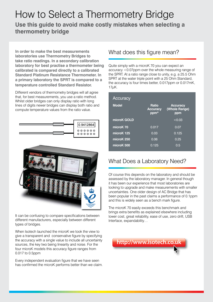# How to Select a Thermometry Bridge **Use this guide to avoid make costly mistakes when selecting a thermometry bridge**

**In order to make the best measurements laboratories use Thermometry Bridges to take ratio readings. In a secondary calibration laboratory for best practise a thermometer being calibrated is compared directly to a calibrated Standard Platinum Resistance Thermometer. In a primary laboratory the SPRT is compared to a temperature controlled Standard Resistor.**

Different vendors of thermometry bridges will all agree that, for best measurements, you use a ratio method. Whilst older bridges can only display ratio with long lines of digits newer bridges can display both ratio and compute temperature values from the ratio value.





It can be confusing to compare specifications between different manufacturers, especially between different types of bridges.

When Isotech launched the microK we took the view to give a transparent and conservative figure by specifying the accuracy with a single value to include all uncertainty sources, the key two being linearity and noise. For the four microK models this accuracy figure ranges from 0.017 to 0.5ppm

Every independent evaluation figure that we have seen has confirmed the microK performs better than we claim.

# What does this figure mean?

Quite simply with a microK 70 you can expect an accuracy <0.07ppm over the whole measuring range of the SPRT. At a ratio range close to unity, e.g. a 25.5 Ohm SPRT at the water triple point with a 25 Ohm Standard, the accuracy is four times better, 0.017ppm or 0.017mK,  $17\mu$ K.

| Accuracy     |                                         |                                         |
|--------------|-----------------------------------------|-----------------------------------------|
| <b>Model</b> | <b>Ratio</b><br><b>Accuracy</b><br>ppm* | <b>Accuracy</b><br>(Whole Range)<br>ppm |
| microK GOLD  |                                         | < 0.03                                  |
| microK 70    | 0.017                                   | 0.07                                    |
| microK 125   | 0.03                                    | 0.125                                   |
| microK 250   | 0.06                                    | 0.25                                    |
| microK 500   | 0.125                                   | 0.5                                     |

# What Does a Laboratory Need?

Of course this depends on the laboratory and should be assessed by the laboratory manager. In general though it has been our experience that most laboratories are looking to upgrade and make measurements with smaller uncertainties. One older design of AC Bridge that has been popular in the past claims a performance of 0.1ppm and this is widely seen as a bench mark figure.

The microK 70 easily exceeds this benchmark and brings extra benefits as explained elsewhere including lower cost, great reliability, ease of use, zero drift, USB Interface, expandability…

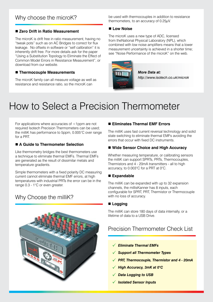#### ■ Zero Drift in Ratio Measurement

The microK is drift free in ratio measurement, having no "tweak pots" such as on AC Bridges to correct for flux leakage. No offsets in software or "self calibration" it is inherently drift free. For more details ask for the paper "Using a Substitution Topology to Eliminate the Effect of Common Model Errors in Resistance Measurement", or download from our website.

#### ■ Thermocouple Measurements

The microK family can all measure voltage as well as resistance and resistance ratio, so the microK can

be used with thermocouples in addition to resistance thermometers, to an accuracy of 0.25µV.

#### ■ Low Noise

**www.isotech.co.uk**

**and Versatility**

The microK uses a new type of ADC, licensed from theNational Physical Laboratory (NPL), which combined with low noise amplifiers means that a lower measurement uncertainty is achieved in a shorter time; see "Noise Performance of the microK" on the web.

*More Data at: http://www.isotech.co.uk/microk* The new **microK** family of precision thermometry bridges **of Accuracy, Stability**

# How to Select a Precision Thermometer

For applications where accuracies of <1ppm are not required Isotech Precision Thermometers can be used; the milliK has performance to 5ppm, 0.005°C over range for a PRT.

#### ■ A Guide to Thermometer Selection

Like thermometry bridges the best thermometers use a technique to eliminate thermal EMFs. Thermal EMFs are generated as the result of dissimilar metals and temperature gradients.

Simple thermometers with a fixed polarity DC measuring current cannot eliminate thermal EMF errors, at high temperatures with industrial PRTs the error can be in the range 0.3 - 1°C or even greater.

# Why Choose the milliK?



#### ■ Eliminates Thermal EMF Errors

The milliK uses fast current reversal technology and solid state switching to eliminate thermal EMFs avoiding the errors that occur with fixed DC instruments.

#### ■ Wide Sensor Choice and High Accuracy

Whether measuring temperature, or calibrating sensors the milliK can support SPRTs, PRTs, Thermocouples, Thermistors and 4 - 20mA transmitters - all to high accuracy, to 0.003°C for a PRT at 0°C.

#### n **Expandable**

The milliK can be expanded with up to 32 expansion channels, the millisKanner has 8 inputs, each configurable for SPRT, PRT, Thermistor or Thermocouple with no loss of accuracy.

#### n **Logging**

The milliK can store 180 days of data internally, or a lifetime of data to a USB Drive.

# Precision Thermometer Check List

- *Eliminate Thermal EMFs*
- *Support all Thermometer Types*
- *PRT, Thermocouple, Thermistor and 4 20mA*
- *High Accuracy, 3mK at 0°C*
- *Data Logging to USB*
- *Isolated Sensor Inputs*